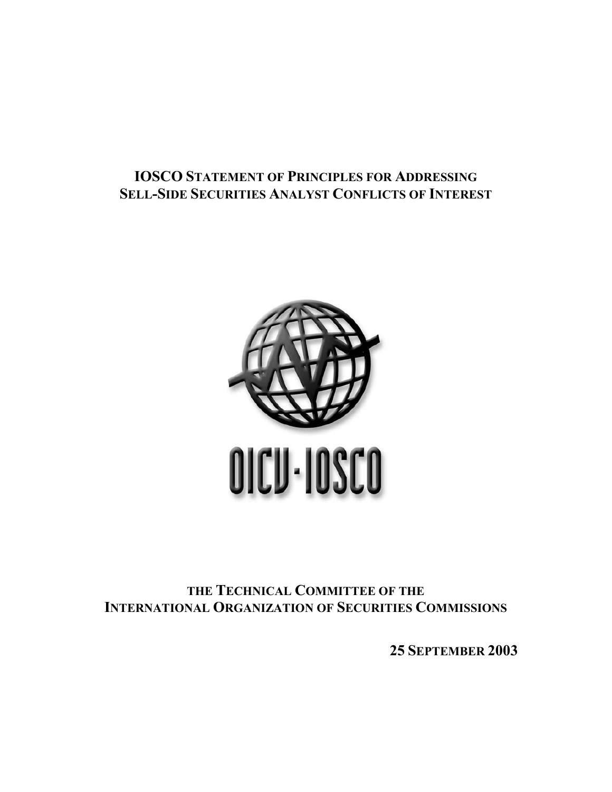# **IOSCO STATEMENT OF PRINCIPLES FOR ADDRESSING SELL-SIDE SECURITIES ANALYST CONFLICTS OF INTEREST**



**THE TECHNICAL COMMITTEE OF THE INTERNATIONAL ORGANIZATION OF SECURITIES COMMISSIONS**

**25 SEPTEMBER 2003**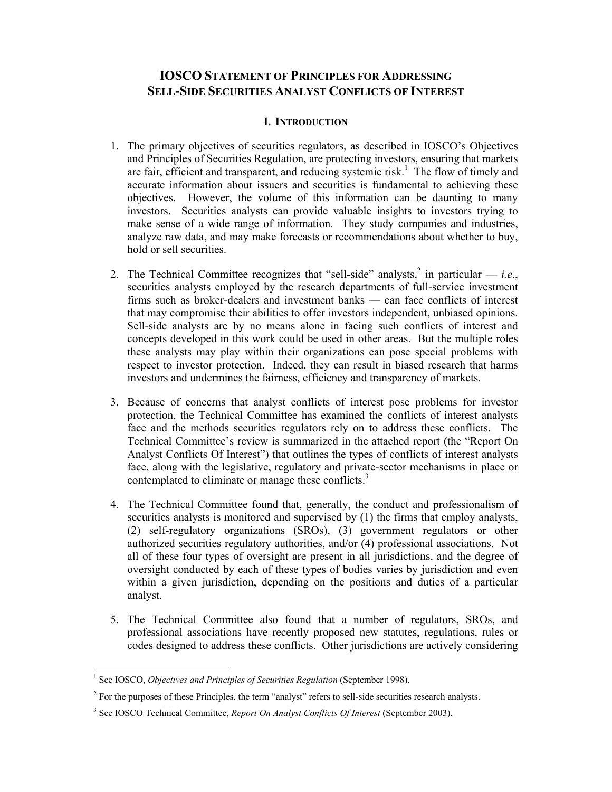# **IOSCO STATEMENT OF PRINCIPLES FOR ADDRESSING SELL-SIDE SECURITIES ANALYST CONFLICTS OF INTEREST**

### **I. INTRODUCTION**

- 1. The primary objectives of securities regulators, as described in IOSCO's Objectives and Principles of Securities Regulation, are protecting investors, ensuring that markets are fair, efficient and transparent, and reducing systemic risk.<sup>1</sup> The flow of timely and accurate information about issuers and securities is fundamental to achieving these objectives. However, the volume of this information can be daunting to many investors. Securities analysts can provide valuable insights to investors trying to make sense of a wide range of information. They study companies and industries, analyze raw data, and may make forecasts or recommendations about whether to buy, hold or sell securities.
- 2. The Technical Committee recognizes that "sell-side" analysts,  $2 \text{ in particular } -i.e.,$ securities analysts employed by the research departments of full-service investment firms such as broker-dealers and investment banks — can face conflicts of interest that may compromise their abilities to offer investors independent, unbiased opinions. Sell-side analysts are by no means alone in facing such conflicts of interest and concepts developed in this work could be used in other areas. But the multiple roles these analysts may play within their organizations can pose special problems with respect to investor protection. Indeed, they can result in biased research that harms investors and undermines the fairness, efficiency and transparency of markets.
- 3. Because of concerns that analyst conflicts of interest pose problems for investor protection, the Technical Committee has examined the conflicts of interest analysts face and the methods securities regulators rely on to address these conflicts. The Technical Committee's review is summarized in the attached report (the "Report On Analyst Conflicts Of Interest") that outlines the types of conflicts of interest analysts face, along with the legislative, regulatory and private-sector mechanisms in place or contemplated to eliminate or manage these conflicts.<sup>3</sup>
- 4. The Technical Committee found that, generally, the conduct and professionalism of securities analysts is monitored and supervised by (1) the firms that employ analysts, (2) self-regulatory organizations (SROs), (3) government regulators or other authorized securities regulatory authorities, and/or (4) professional associations. Not all of these four types of oversight are present in all jurisdictions, and the degree of oversight conducted by each of these types of bodies varies by jurisdiction and even within a given jurisdiction, depending on the positions and duties of a particular analyst.
- 5. The Technical Committee also found that a number of regulators, SROs, and professional associations have recently proposed new statutes, regulations, rules or codes designed to address these conflicts. Other jurisdictions are actively considering

 1 See IOSCO, *Objectives and Principles of Securities Regulation* (September 1998).

 $2^2$  For the purposes of these Principles, the term "analyst" refers to sell-side securities research analysts.

<sup>3</sup> See IOSCO Technical Committee, *Report On Analyst Conflicts Of Interest* (September 2003).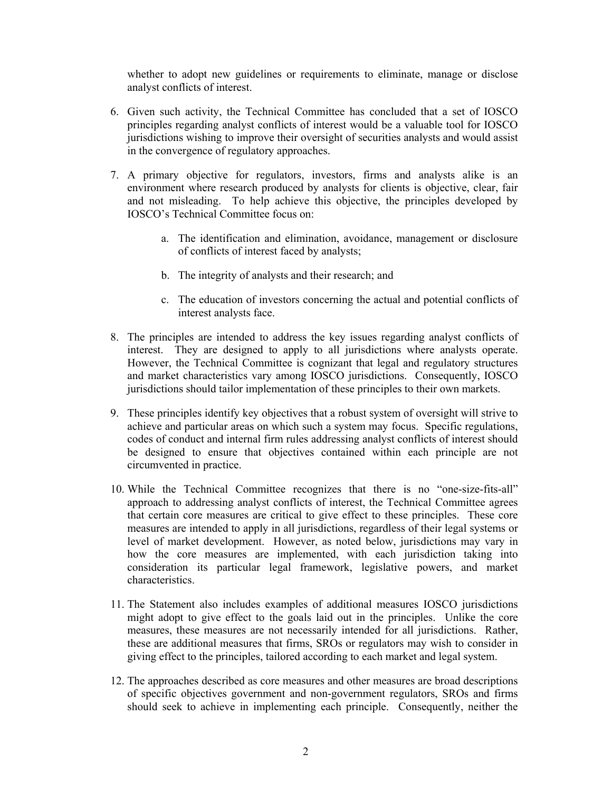whether to adopt new guidelines or requirements to eliminate, manage or disclose analyst conflicts of interest.

- 6. Given such activity, the Technical Committee has concluded that a set of IOSCO principles regarding analyst conflicts of interest would be a valuable tool for IOSCO jurisdictions wishing to improve their oversight of securities analysts and would assist in the convergence of regulatory approaches.
- 7. A primary objective for regulators, investors, firms and analysts alike is an environment where research produced by analysts for clients is objective, clear, fair and not misleading. To help achieve this objective, the principles developed by IOSCO's Technical Committee focus on:
	- a. The identification and elimination, avoidance, management or disclosure of conflicts of interest faced by analysts;
	- b. The integrity of analysts and their research; and
	- c. The education of investors concerning the actual and potential conflicts of interest analysts face.
- 8. The principles are intended to address the key issues regarding analyst conflicts of interest. They are designed to apply to all jurisdictions where analysts operate. However, the Technical Committee is cognizant that legal and regulatory structures and market characteristics vary among IOSCO jurisdictions. Consequently, IOSCO jurisdictions should tailor implementation of these principles to their own markets.
- 9. These principles identify key objectives that a robust system of oversight will strive to achieve and particular areas on which such a system may focus. Specific regulations, codes of conduct and internal firm rules addressing analyst conflicts of interest should be designed to ensure that objectives contained within each principle are not circumvented in practice.
- 10. While the Technical Committee recognizes that there is no "one-size-fits-all" approach to addressing analyst conflicts of interest, the Technical Committee agrees that certain core measures are critical to give effect to these principles. These core measures are intended to apply in all jurisdictions, regardless of their legal systems or level of market development. However, as noted below, jurisdictions may vary in how the core measures are implemented, with each jurisdiction taking into consideration its particular legal framework, legislative powers, and market characteristics.
- 11. The Statement also includes examples of additional measures IOSCO jurisdictions might adopt to give effect to the goals laid out in the principles. Unlike the core measures, these measures are not necessarily intended for all jurisdictions. Rather, these are additional measures that firms, SROs or regulators may wish to consider in giving effect to the principles, tailored according to each market and legal system.
- 12. The approaches described as core measures and other measures are broad descriptions of specific objectives government and non-government regulators, SROs and firms should seek to achieve in implementing each principle. Consequently, neither the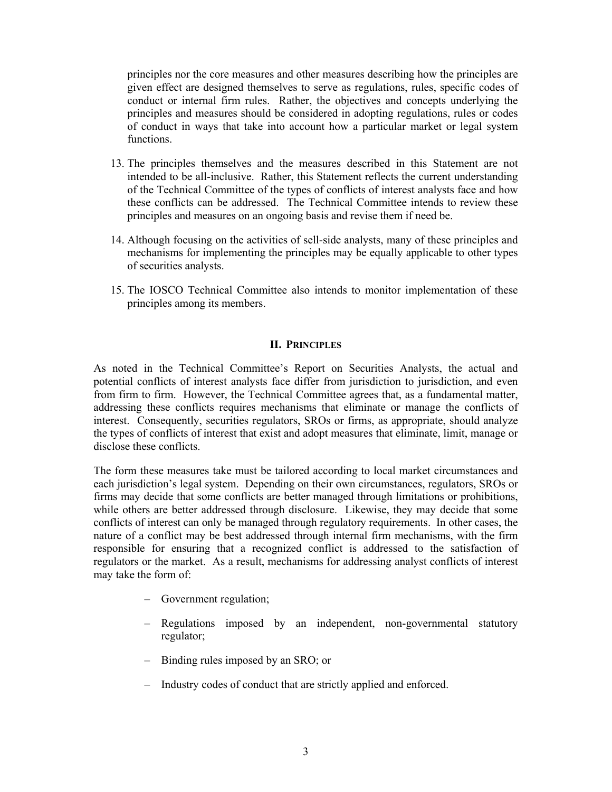principles nor the core measures and other measures describing how the principles are given effect are designed themselves to serve as regulations, rules, specific codes of conduct or internal firm rules. Rather, the objectives and concepts underlying the principles and measures should be considered in adopting regulations, rules or codes of conduct in ways that take into account how a particular market or legal system functions.

- 13. The principles themselves and the measures described in this Statement are not intended to be all-inclusive. Rather, this Statement reflects the current understanding of the Technical Committee of the types of conflicts of interest analysts face and how these conflicts can be addressed. The Technical Committee intends to review these principles and measures on an ongoing basis and revise them if need be.
- 14. Although focusing on the activities of sell-side analysts, many of these principles and mechanisms for implementing the principles may be equally applicable to other types of securities analysts.
- 15. The IOSCO Technical Committee also intends to monitor implementation of these principles among its members.

### **II. PRINCIPLES**

As noted in the Technical Committee's Report on Securities Analysts, the actual and potential conflicts of interest analysts face differ from jurisdiction to jurisdiction, and even from firm to firm. However, the Technical Committee agrees that, as a fundamental matter, addressing these conflicts requires mechanisms that eliminate or manage the conflicts of interest. Consequently, securities regulators, SROs or firms, as appropriate, should analyze the types of conflicts of interest that exist and adopt measures that eliminate, limit, manage or disclose these conflicts.

The form these measures take must be tailored according to local market circumstances and each jurisdiction's legal system. Depending on their own circumstances, regulators, SROs or firms may decide that some conflicts are better managed through limitations or prohibitions, while others are better addressed through disclosure. Likewise, they may decide that some conflicts of interest can only be managed through regulatory requirements. In other cases, the nature of a conflict may be best addressed through internal firm mechanisms, with the firm responsible for ensuring that a recognized conflict is addressed to the satisfaction of regulators or the market. As a result, mechanisms for addressing analyst conflicts of interest may take the form of:

- Government regulation;
- Regulations imposed by an independent, non-governmental statutory regulator;
- Binding rules imposed by an SRO; or
- Industry codes of conduct that are strictly applied and enforced.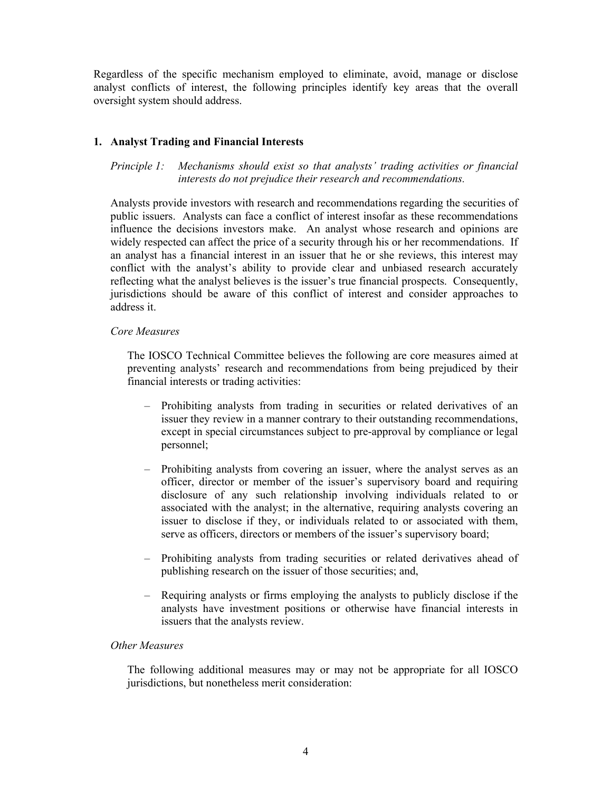Regardless of the specific mechanism employed to eliminate, avoid, manage or disclose analyst conflicts of interest, the following principles identify key areas that the overall oversight system should address.

# **1. Analyst Trading and Financial Interests**

*Principle 1: Mechanisms should exist so that analysts' trading activities or financial interests do not prejudice their research and recommendations.* 

Analysts provide investors with research and recommendations regarding the securities of public issuers. Analysts can face a conflict of interest insofar as these recommendations influence the decisions investors make. An analyst whose research and opinions are widely respected can affect the price of a security through his or her recommendations. If an analyst has a financial interest in an issuer that he or she reviews, this interest may conflict with the analyst's ability to provide clear and unbiased research accurately reflecting what the analyst believes is the issuer's true financial prospects. Consequently, jurisdictions should be aware of this conflict of interest and consider approaches to address it.

### *Core Measures*

The IOSCO Technical Committee believes the following are core measures aimed at preventing analysts' research and recommendations from being prejudiced by their financial interests or trading activities:

- Prohibiting analysts from trading in securities or related derivatives of an issuer they review in a manner contrary to their outstanding recommendations, except in special circumstances subject to pre-approval by compliance or legal personnel;
- Prohibiting analysts from covering an issuer, where the analyst serves as an officer, director or member of the issuer's supervisory board and requiring disclosure of any such relationship involving individuals related to or associated with the analyst; in the alternative, requiring analysts covering an issuer to disclose if they, or individuals related to or associated with them, serve as officers, directors or members of the issuer's supervisory board;
- Prohibiting analysts from trading securities or related derivatives ahead of publishing research on the issuer of those securities; and,
- Requiring analysts or firms employing the analysts to publicly disclose if the analysts have investment positions or otherwise have financial interests in issuers that the analysts review.

### *Other Measures*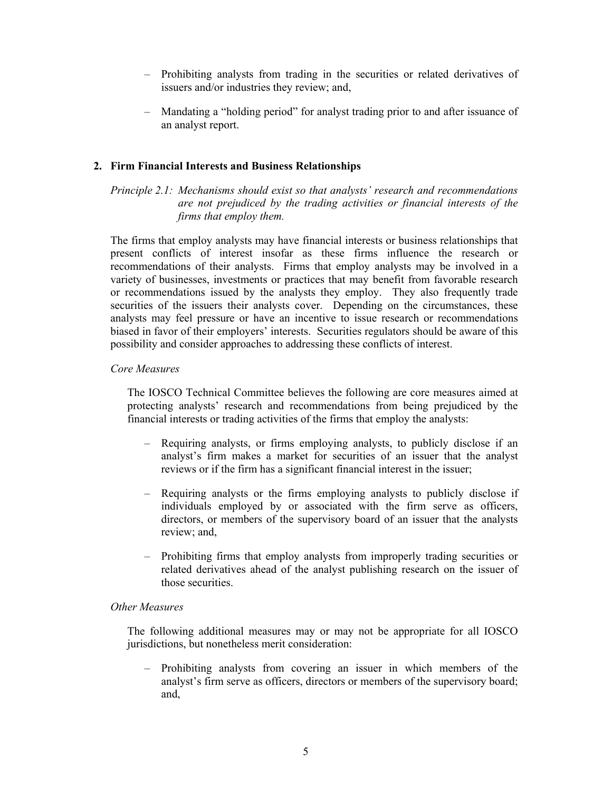- Prohibiting analysts from trading in the securities or related derivatives of issuers and/or industries they review; and,
- Mandating a "holding period" for analyst trading prior to and after issuance of an analyst report.

## **2. Firm Financial Interests and Business Relationships**

*Principle 2.1: Mechanisms should exist so that analysts' research and recommendations are not prejudiced by the trading activities or financial interests of the firms that employ them.* 

The firms that employ analysts may have financial interests or business relationships that present conflicts of interest insofar as these firms influence the research or recommendations of their analysts. Firms that employ analysts may be involved in a variety of businesses, investments or practices that may benefit from favorable research or recommendations issued by the analysts they employ. They also frequently trade securities of the issuers their analysts cover. Depending on the circumstances, these analysts may feel pressure or have an incentive to issue research or recommendations biased in favor of their employers' interests. Securities regulators should be aware of this possibility and consider approaches to addressing these conflicts of interest.

#### *Core Measures*

The IOSCO Technical Committee believes the following are core measures aimed at protecting analysts' research and recommendations from being prejudiced by the financial interests or trading activities of the firms that employ the analysts:

- Requiring analysts, or firms employing analysts, to publicly disclose if an analyst's firm makes a market for securities of an issuer that the analyst reviews or if the firm has a significant financial interest in the issuer;
- Requiring analysts or the firms employing analysts to publicly disclose if individuals employed by or associated with the firm serve as officers, directors, or members of the supervisory board of an issuer that the analysts review; and,
- Prohibiting firms that employ analysts from improperly trading securities or related derivatives ahead of the analyst publishing research on the issuer of those securities.

#### *Other Measures*

The following additional measures may or may not be appropriate for all IOSCO jurisdictions, but nonetheless merit consideration:

– Prohibiting analysts from covering an issuer in which members of the analyst's firm serve as officers, directors or members of the supervisory board; and,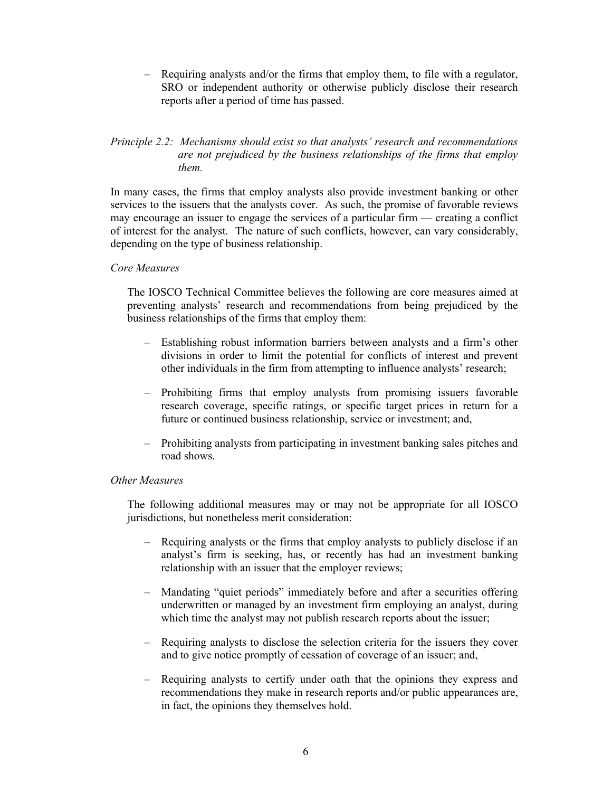– Requiring analysts and/or the firms that employ them, to file with a regulator, SRO or independent authority or otherwise publicly disclose their research reports after a period of time has passed.

# *Principle 2.2: Mechanisms should exist so that analysts' research and recommendations are not prejudiced by the business relationships of the firms that employ them.*

In many cases, the firms that employ analysts also provide investment banking or other services to the issuers that the analysts cover. As such, the promise of favorable reviews may encourage an issuer to engage the services of a particular firm — creating a conflict of interest for the analyst. The nature of such conflicts, however, can vary considerably, depending on the type of business relationship.

### *Core Measures*

The IOSCO Technical Committee believes the following are core measures aimed at preventing analysts' research and recommendations from being prejudiced by the business relationships of the firms that employ them:

- Establishing robust information barriers between analysts and a firm's other divisions in order to limit the potential for conflicts of interest and prevent other individuals in the firm from attempting to influence analysts' research;
- Prohibiting firms that employ analysts from promising issuers favorable research coverage, specific ratings, or specific target prices in return for a future or continued business relationship, service or investment; and,
- Prohibiting analysts from participating in investment banking sales pitches and road shows.

#### *Other Measures*

- Requiring analysts or the firms that employ analysts to publicly disclose if an analyst's firm is seeking, has, or recently has had an investment banking relationship with an issuer that the employer reviews;
- Mandating "quiet periods" immediately before and after a securities offering underwritten or managed by an investment firm employing an analyst, during which time the analyst may not publish research reports about the issuer;
- Requiring analysts to disclose the selection criteria for the issuers they cover and to give notice promptly of cessation of coverage of an issuer; and,
- Requiring analysts to certify under oath that the opinions they express and recommendations they make in research reports and/or public appearances are, in fact, the opinions they themselves hold.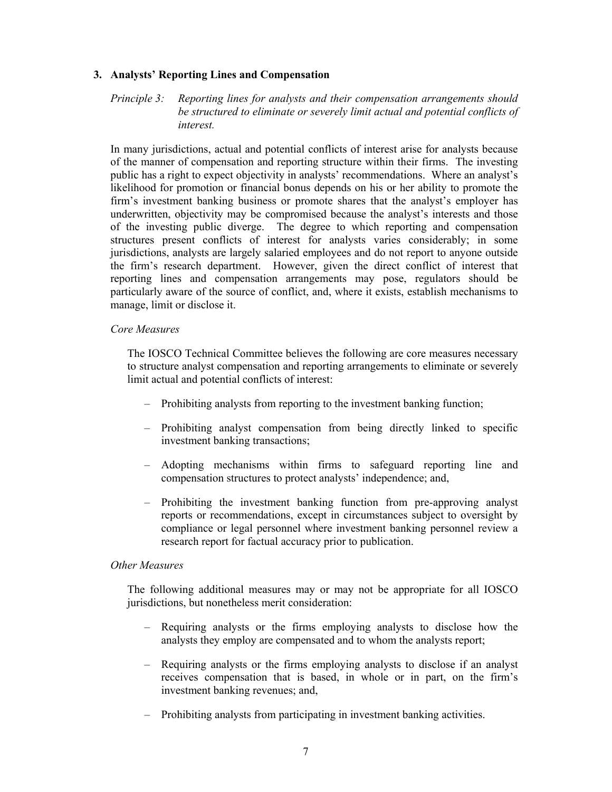# **3. Analysts' Reporting Lines and Compensation**

### *Principle 3: Reporting lines for analysts and their compensation arrangements should be structured to eliminate or severely limit actual and potential conflicts of interest.*

In many jurisdictions, actual and potential conflicts of interest arise for analysts because of the manner of compensation and reporting structure within their firms. The investing public has a right to expect objectivity in analysts' recommendations. Where an analyst's likelihood for promotion or financial bonus depends on his or her ability to promote the firm's investment banking business or promote shares that the analyst's employer has underwritten, objectivity may be compromised because the analyst's interests and those of the investing public diverge. The degree to which reporting and compensation structures present conflicts of interest for analysts varies considerably; in some jurisdictions, analysts are largely salaried employees and do not report to anyone outside the firm's research department. However, given the direct conflict of interest that reporting lines and compensation arrangements may pose, regulators should be particularly aware of the source of conflict, and, where it exists, establish mechanisms to manage, limit or disclose it.

### *Core Measures*

The IOSCO Technical Committee believes the following are core measures necessary to structure analyst compensation and reporting arrangements to eliminate or severely limit actual and potential conflicts of interest:

- Prohibiting analysts from reporting to the investment banking function;
- Prohibiting analyst compensation from being directly linked to specific investment banking transactions;
- Adopting mechanisms within firms to safeguard reporting line and compensation structures to protect analysts' independence; and,
- Prohibiting the investment banking function from pre-approving analyst reports or recommendations, except in circumstances subject to oversight by compliance or legal personnel where investment banking personnel review a research report for factual accuracy prior to publication.

### *Other Measures*

- Requiring analysts or the firms employing analysts to disclose how the analysts they employ are compensated and to whom the analysts report;
- Requiring analysts or the firms employing analysts to disclose if an analyst receives compensation that is based, in whole or in part, on the firm's investment banking revenues; and,
- Prohibiting analysts from participating in investment banking activities.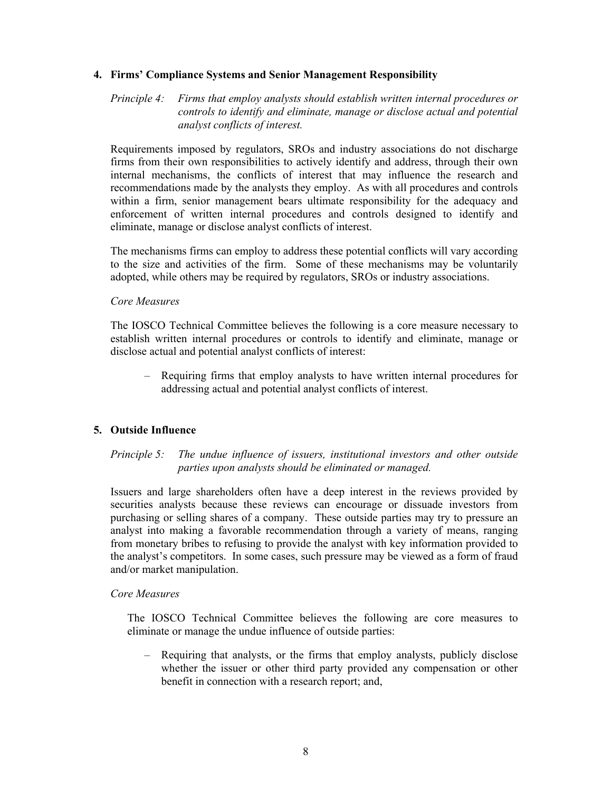### **4. Firms' Compliance Systems and Senior Management Responsibility**

*Principle 4: Firms that employ analysts should establish written internal procedures or controls to identify and eliminate, manage or disclose actual and potential analyst conflicts of interest.*

Requirements imposed by regulators, SROs and industry associations do not discharge firms from their own responsibilities to actively identify and address, through their own internal mechanisms, the conflicts of interest that may influence the research and recommendations made by the analysts they employ. As with all procedures and controls within a firm, senior management bears ultimate responsibility for the adequacy and enforcement of written internal procedures and controls designed to identify and eliminate, manage or disclose analyst conflicts of interest.

The mechanisms firms can employ to address these potential conflicts will vary according to the size and activities of the firm. Some of these mechanisms may be voluntarily adopted, while others may be required by regulators, SROs or industry associations.

#### *Core Measures*

The IOSCO Technical Committee believes the following is a core measure necessary to establish written internal procedures or controls to identify and eliminate, manage or disclose actual and potential analyst conflicts of interest:

– Requiring firms that employ analysts to have written internal procedures for addressing actual and potential analyst conflicts of interest.

### **5. Outside Influence**

# *Principle 5: The undue influence of issuers, institutional investors and other outside parties upon analysts should be eliminated or managed.*

Issuers and large shareholders often have a deep interest in the reviews provided by securities analysts because these reviews can encourage or dissuade investors from purchasing or selling shares of a company. These outside parties may try to pressure an analyst into making a favorable recommendation through a variety of means, ranging from monetary bribes to refusing to provide the analyst with key information provided to the analyst's competitors. In some cases, such pressure may be viewed as a form of fraud and/or market manipulation.

### *Core Measures*

The IOSCO Technical Committee believes the following are core measures to eliminate or manage the undue influence of outside parties:

– Requiring that analysts, or the firms that employ analysts, publicly disclose whether the issuer or other third party provided any compensation or other benefit in connection with a research report; and,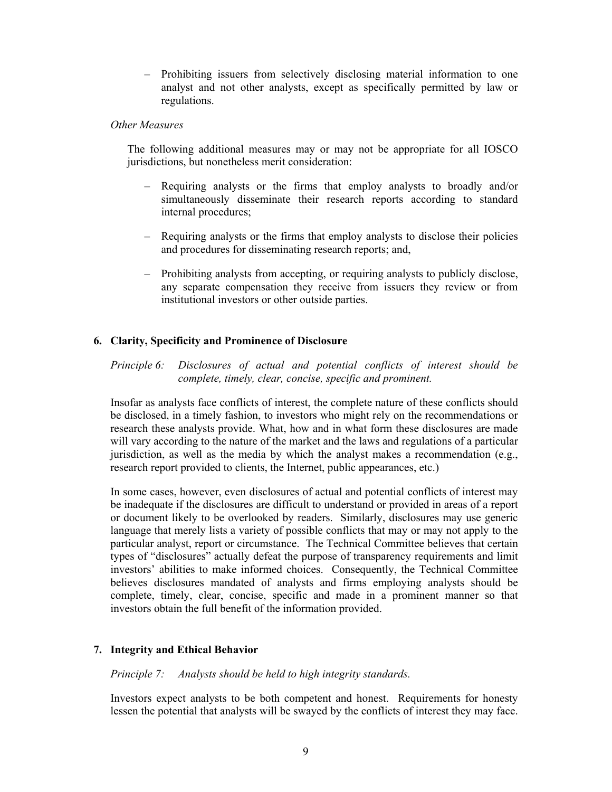– Prohibiting issuers from selectively disclosing material information to one analyst and not other analysts, except as specifically permitted by law or regulations.

#### *Other Measures*

The following additional measures may or may not be appropriate for all IOSCO jurisdictions, but nonetheless merit consideration:

- Requiring analysts or the firms that employ analysts to broadly and/or simultaneously disseminate their research reports according to standard internal procedures;
- Requiring analysts or the firms that employ analysts to disclose their policies and procedures for disseminating research reports; and,
- Prohibiting analysts from accepting, or requiring analysts to publicly disclose, any separate compensation they receive from issuers they review or from institutional investors or other outside parties.

# **6. Clarity, Specificity and Prominence of Disclosure**

*Principle 6: Disclosures of actual and potential conflicts of interest should be complete, timely, clear, concise, specific and prominent.* 

Insofar as analysts face conflicts of interest, the complete nature of these conflicts should be disclosed, in a timely fashion, to investors who might rely on the recommendations or research these analysts provide. What, how and in what form these disclosures are made will vary according to the nature of the market and the laws and regulations of a particular jurisdiction, as well as the media by which the analyst makes a recommendation (e.g., research report provided to clients, the Internet, public appearances, etc.)

In some cases, however, even disclosures of actual and potential conflicts of interest may be inadequate if the disclosures are difficult to understand or provided in areas of a report or document likely to be overlooked by readers. Similarly, disclosures may use generic language that merely lists a variety of possible conflicts that may or may not apply to the particular analyst, report or circumstance. The Technical Committee believes that certain types of "disclosures" actually defeat the purpose of transparency requirements and limit investors' abilities to make informed choices. Consequently, the Technical Committee believes disclosures mandated of analysts and firms employing analysts should be complete, timely, clear, concise, specific and made in a prominent manner so that investors obtain the full benefit of the information provided.

### **7. Integrity and Ethical Behavior**

#### *Principle 7: Analysts should be held to high integrity standards.*

Investors expect analysts to be both competent and honest. Requirements for honesty lessen the potential that analysts will be swayed by the conflicts of interest they may face.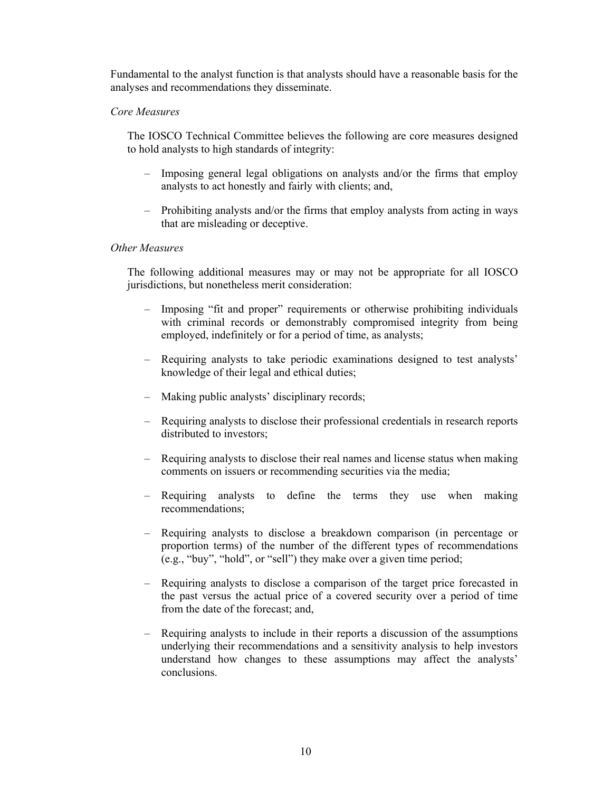Fundamental to the analyst function is that analysts should have a reasonable basis for the analyses and recommendations they disseminate.

# *Core Measures*

The IOSCO Technical Committee believes the following are core measures designed to hold analysts to high standards of integrity:

- Imposing general legal obligations on analysts and/or the firms that employ analysts to act honestly and fairly with clients; and,
- Prohibiting analysts and/or the firms that employ analysts from acting in ways that are misleading or deceptive.

### *Other Measures*

- Imposing "fit and proper" requirements or otherwise prohibiting individuals with criminal records or demonstrably compromised integrity from being employed, indefinitely or for a period of time, as analysts;
- Requiring analysts to take periodic examinations designed to test analysts' knowledge of their legal and ethical duties;
- Making public analysts' disciplinary records;
- Requiring analysts to disclose their professional credentials in research reports distributed to investors;
- Requiring analysts to disclose their real names and license status when making comments on issuers or recommending securities via the media;
- Requiring analysts to define the terms they use when making recommendations;
- Requiring analysts to disclose a breakdown comparison (in percentage or proportion terms) of the number of the different types of recommendations (e.g., "buy", "hold", or "sell") they make over a given time period;
- Requiring analysts to disclose a comparison of the target price forecasted in the past versus the actual price of a covered security over a period of time from the date of the forecast; and,
- Requiring analysts to include in their reports a discussion of the assumptions underlying their recommendations and a sensitivity analysis to help investors understand how changes to these assumptions may affect the analysts' conclusions.